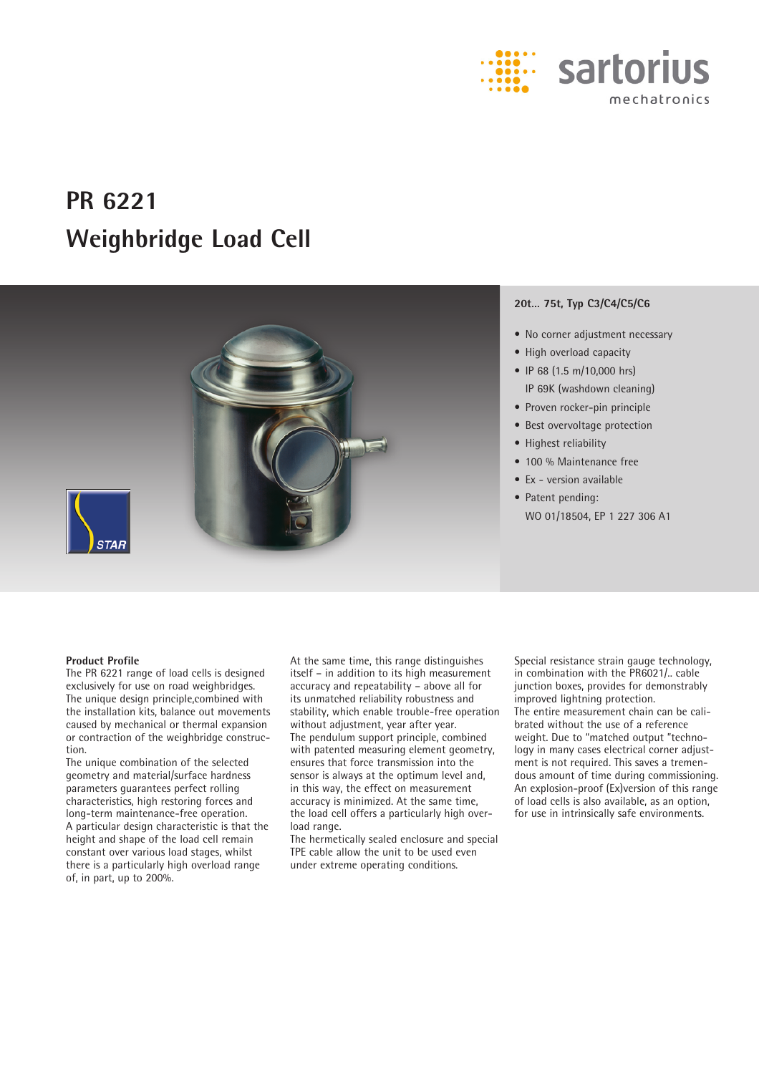

# **PR 6221 Weighbridge Load Cell**



# **20t… 75t, Typ C3/C4/C5/C6**

- No corner adjustment necessary
- High overload capacity
- IP 68 (1.5 m/10,000 hrs) IP 69K (washdown cleaning)
- Proven rocker-pin principle
- Best overvoltage protection
- Highest reliability
- 100 % Maintenance free
- Ex version available
- Patent pending: WO 01/18504, EP 1 227 306 A1

## **Product Profile**

The PR 6221 range of load cells is designed exclusively for use on road weighbridges. The unique design principle,combined with the installation kits, balance out movements caused by mechanical or thermal expansion or contraction of the weighbridge construction.

The unique combination of the selected geometry and material/surface hardness parameters guarantees perfect rolling characteristics, high restoring forces and long-term maintenance-free operation. A particular design characteristic is that the height and shape of the load cell remain constant over various load stages, whilst there is a particularly high overload range of, in part, up to 200%.

At the same time, this range distinguishes itself – in addition to its high measurement accuracy and repeatability – above all for its unmatched reliability robustness and stability, which enable trouble-free operation without adjustment, year after year. The pendulum support principle, combined with patented measuring element geometry, ensures that force transmission into the sensor is always at the optimum level and, in this way, the effect on measurement accuracy is minimized. At the same time, the load cell offers a particularly high overload range.

The hermetically sealed enclosure and special TPE cable allow the unit to be used even under extreme operating conditions.

Special resistance strain gauge technology, in combination with the PR6021/.. cable junction boxes, provides for demonstrably improved lightning protection. The entire measurement chain can be calibrated without the use of a reference weight. Due to "matched output "technology in many cases electrical corner adjustment is not required. This saves a tremendous amount of time during commissioning. An explosion-proof (Ex)version of this range of load cells is also available, as an option, for use in intrinsically safe environments.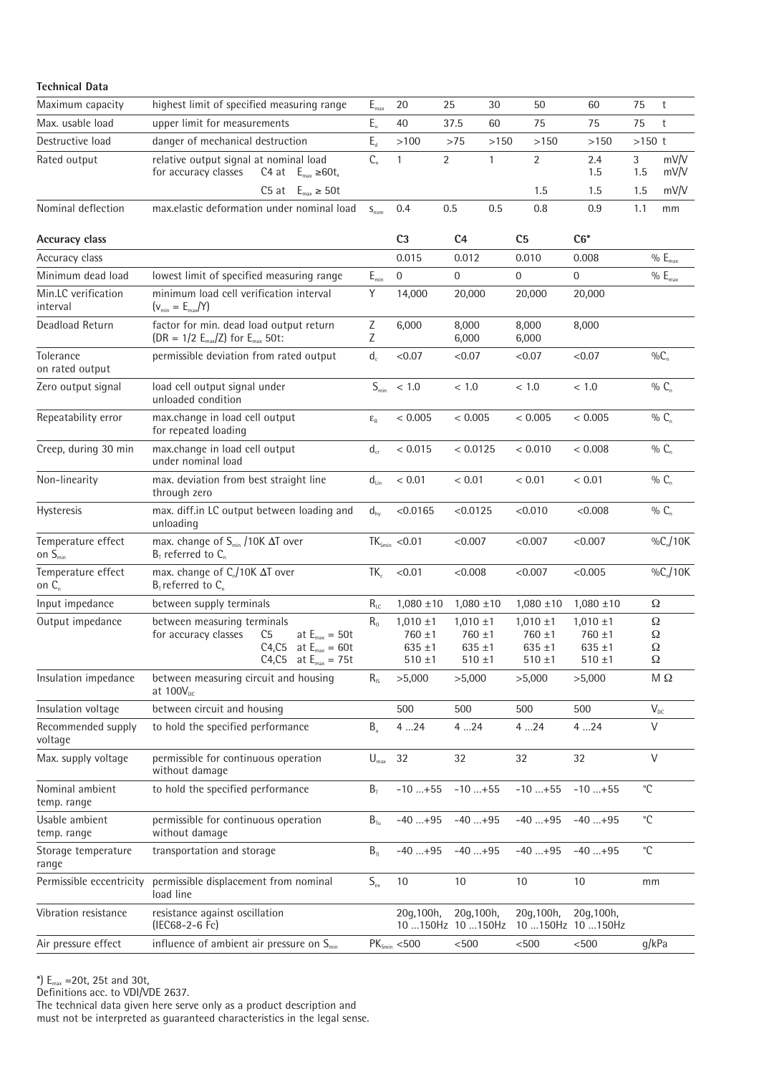| <b>Technical Data</b>                     |                                                                                                                                                           |                               |                                                          |                  |                                           |                                                          |                                                            |              |                     |
|-------------------------------------------|-----------------------------------------------------------------------------------------------------------------------------------------------------------|-------------------------------|----------------------------------------------------------|------------------|-------------------------------------------|----------------------------------------------------------|------------------------------------------------------------|--------------|---------------------|
| Maximum capacity                          | highest limit of specified measuring range                                                                                                                | $E_{\text{max}}$              | 20                                                       | 25               | 30                                        | 50                                                       | 60                                                         | 75           | t                   |
| Max. usable load                          | upper limit for measurements                                                                                                                              | $E_{\rm u}$                   | 40                                                       | 37.5             | 60                                        | 75                                                       | 75                                                         | 75           | t                   |
| Destructive load                          | danger of mechanical destruction                                                                                                                          | $E_d$                         | >100                                                     | >75              | >150                                      | >150                                                     | >150                                                       | $>150$ t     |                     |
| Rated output                              | relative output signal at nominal load                                                                                                                    | $C_{n}$                       | $\mathbf{1}$                                             | $\overline{2}$   | $\mathbf{1}$                              | $\overline{2}$                                           | 2.4                                                        | 3            | mV/V                |
|                                           | for accuracy classes<br>C4 at $E_{max} \ge 60t$ ,                                                                                                         |                               |                                                          |                  |                                           |                                                          | 1.5                                                        | 1.5          | mV/V                |
|                                           | C5 at $E_{max} \ge 50t$                                                                                                                                   |                               |                                                          |                  |                                           | 1.5                                                      | 1.5                                                        | 1.5          | mV/V                |
| Nominal deflection                        | max.elastic deformation under nominal load                                                                                                                | $S_{nom}$                     | 0.4                                                      | 0.5              | 0.5                                       | 0.8                                                      | 0.9                                                        | 1.1          | mm                  |
| <b>Accuracy class</b>                     |                                                                                                                                                           |                               | C <sub>3</sub>                                           | C <sub>4</sub>   |                                           | C <sub>5</sub>                                           | $C6*$                                                      |              |                     |
| Accuracy class                            |                                                                                                                                                           |                               | 0.015                                                    | 0.012            |                                           | 0.010                                                    | 0.008                                                      |              | $\%$ $E_{max}$      |
| Minimum dead load                         | lowest limit of specified measuring range                                                                                                                 | $E_{\text{min}}$              | $\boldsymbol{0}$                                         | $\boldsymbol{0}$ |                                           | $\mathbf 0$                                              | $\mathbf 0$                                                |              | $\%$ $E_{max}$      |
| Min.LC verification<br>interval           | minimum load cell verification interval<br>$(v_{min} = E_{max}/Y)$                                                                                        | Υ                             | 14,000                                                   | 20,000           |                                           | 20,000                                                   | 20,000                                                     |              |                     |
| Deadload Return                           | factor for min. dead load output return<br>$(DR = 1/2 E_{max}/Z)$ for $E_{max}$ 50t:                                                                      | Ζ<br>Z                        | 6,000                                                    | 8,000<br>6,000   |                                           | 8,000<br>6,000                                           | 8,000                                                      |              |                     |
| Tolerance<br>on rated output              | permissible deviation from rated output                                                                                                                   | $d_c$                         | < 0.07                                                   | < 0.07           |                                           | < 0.07                                                   | < 0.07                                                     |              | $\%C_n$             |
| Zero output signal                        | load cell output signal under<br>unloaded condition                                                                                                       | $S_{\text{min}}$              | < 1.0                                                    | $<1.0$           |                                           | < 1.0                                                    | < 1.0                                                      |              | $\%$ C <sub>n</sub> |
| Repeatability error                       | max.change in load cell output<br>for repeated loading                                                                                                    | $\epsilon_{\textrm{\tiny R}}$ | < 0.005                                                  | < 0.005          |                                           | < 0.005                                                  | < 0.005                                                    |              | $% C_n$             |
| Creep, during 30 min                      | max.change in load cell output<br>under nominal load                                                                                                      | $d_{cr}$                      | < 0.015                                                  |                  | < 0.0125                                  | < 0.010                                                  | < 0.008                                                    |              | $\%$ C <sub>n</sub> |
| Non-linearity                             | max. deviation from best straight line<br>through zero                                                                                                    | $d_{\text{Lin}}$              | < 0.01                                                   | < 0.01           |                                           | < 0.01                                                   | < 0.01                                                     |              | $\%$ C <sub>n</sub> |
| Hysteresis                                | max. diff.in LC output between loading and<br>unloading                                                                                                   | $d_{hv}$                      | < 0.0165                                                 | < 0.0125         |                                           | < 0.010                                                  | < 0.008                                                    |              | $\%$ $C_n$          |
| Temperature effect<br>on $S_{\text{min}}$ | max. change of $S_{min}$ /10K $\Delta T$ over<br>$Br$ referred to $Cn$                                                                                    |                               | $TK_{smin}$ < 0.01                                       | < 0.007          |                                           | < 0.007                                                  | < 0.007                                                    |              | $\%C_n/10K$         |
| Temperature effect<br>on $C_n$            | max. change of C <sub>0</sub> /10K $\Delta T$ over<br>$Br$ referred to $Cn$                                                                               | TK <sub>c</sub>               | < 0.01                                                   | < 0.008          |                                           | < 0.007                                                  | < 0.005                                                    |              | $\%C_n/10K$         |
| Input impedance                           | between supply terminals                                                                                                                                  | $R_{LC}$                      | $1,080 \pm 10$                                           |                  | $1,080 \pm 10$                            | $1,080 \pm 10$                                           | $1,080 \pm 10$                                             |              | Ω                   |
| Output impedance                          | between measuring terminals<br>at $E_{max} = 50t$<br>for accuracy classes<br>C <sub>5</sub><br>C4,C5 at $E_{max} = 60t$<br>$C4$ , $C5$ at $E_{max} = 75t$ | $R_0$                         | $1,010 \pm 1$<br>$760 + 1$<br>$635 \pm 1$<br>$510 \pm 1$ | $1,010 \pm 1$    | $760 \pm 1$<br>$635 \pm 1$<br>$510 \pm 1$ | $1,010 \pm 1$<br>$760 + 1$<br>$635 \pm 1$<br>$510 \pm 1$ | $1,010 \pm 1$<br>$760 \pm 1$<br>$635 \pm 1$<br>$510 \pm 1$ | Ω            | Ω<br>Ω<br>$\Omega$  |
| Insulation impedance                      | between measuring circuit and housing<br>at $100V_{\text{DC}}$                                                                                            | $R_{15}$                      | >5,000                                                   | >5,000           |                                           | >5,000                                                   | >5,000                                                     |              | MΩ                  |
| Insulation voltage                        | between circuit and housing                                                                                                                               |                               | 500                                                      | 500              |                                           | 500                                                      | 500                                                        |              | $V_{\text{DC}}$     |
| Recommended supply<br>voltage             | to hold the specified performance                                                                                                                         | $B_u$                         | 424                                                      | 424              |                                           | 424                                                      | 424                                                        | V            |                     |
| Max. supply voltage                       | permissible for continuous operation<br>without damage                                                                                                    | $U_{\text{max}}$              | 32                                                       | 32               |                                           | 32                                                       | 32                                                         | $\vee$       |                     |
| Nominal ambient<br>temp. range            | to hold the specified performance                                                                                                                         | $B_T$                         | $-10+55$                                                 |                  | $-10+55$                                  | $-10+55$                                                 | $-10+55$                                                   | $^{\circ}$ C |                     |
| Usable ambient<br>temp. range             | permissible for continuous operation<br>without damage                                                                                                    | $B_{\tau u}$                  | $-40+95$                                                 |                  | $-40+95$                                  | $-40+95$                                                 | $-40+95$                                                   | $^{\circ}$ C |                     |
| Storage temperature<br>range              | transportation and storage                                                                                                                                | $B_{T1}$                      | $-40+95$                                                 |                  | $-40+95$                                  | $-40+95$                                                 | $-40+95$                                                   | $^{\circ}$ C |                     |
| Permissible eccentricity                  | permissible displacement from nominal<br>load line                                                                                                        | $\mathsf{S}_{\textup{ex}}$    | 10                                                       | 10               |                                           | 10                                                       | 10                                                         | mm           |                     |
| Vibration resistance                      | resistance against oscillation<br>(IEC68-2-6 Fc)                                                                                                          |                               | 20g, 100h,<br>10  150Hz 10  150Hz                        |                  | 20g, 100h,                                | 20g, 100h,                                               | 20g, 100h,<br>10  150Hz 10  150Hz                          |              |                     |
| Air pressure effect                       | influence of ambient air pressure on $S_{min}$                                                                                                            |                               | $PK_{smin}$ <500                                         | $500$            |                                           | < 500                                                    | < 500                                                      | g/kPa        |                     |

 $*$ )  $E_{\text{max}} = 20t$ , 25t and 30t,

Definitions acc. to VDI/VDE 2637.

The technical data given here serve only as a product description and

must not be interpreted as guaranteed characteristics in the legal sense.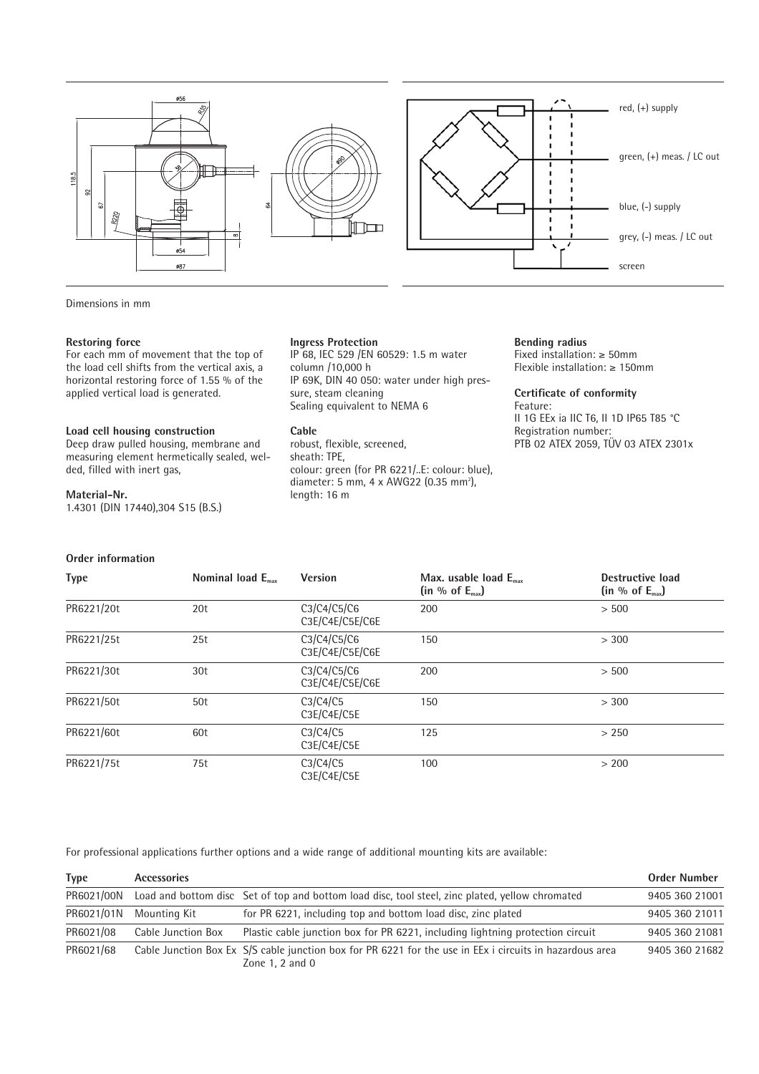

Dimensions in mm

### **Restoring force**

For each mm of movement that the top of the load cell shifts from the vertical axis, a horizontal restoring force of 1.55 % of the applied vertical load is generated.

## **Load cell housing construction**

Deep draw pulled housing, membrane and measuring element hermetically sealed, welded, filled with inert gas,

# **Material-Nr.**

1.4301 (DIN 17440),304 S15 (B.S.)

### **Order information**

### **Ingress Protection**

IP 68, IEC 529 /EN 60529: 1.5 m water column /10,000 h IP 69K, DIN 40 050: water under high pressure, steam cleaning Sealing equivalent to NEMA 6

## **Cable** robust, flexible, screened, sheath: TPE,

colour: green (for PR 6221/..E: colour: blue), diameter: 5 mm, 4 x AWG22 (0.35 mm<sup>2</sup>), length: 16 m

## **Bending radius** Fixed installation: ≥ 50mm

Flexible installation: ≥ 150mm

**Certificate of conformity** Feature: II 1G EEx ia IIC T6, II 1D IP65 T85 °C

Registration number: PTB 02 ATEX 2059, TÜV 03 ATEX 2301x

| <b>Type</b> | Nominal load $E_{\text{max}}$ | Version                        | Max. usable load $E_{\text{max}}$<br>(in % of E <sub>max</sub> ) | Destructive load<br>(in % of E <sub>max</sub> ) |
|-------------|-------------------------------|--------------------------------|------------------------------------------------------------------|-------------------------------------------------|
| PR6221/20t  | 20 <sub>t</sub>               | C3/C4/C5/C6<br>C3E/C4E/C5E/C6E | 200                                                              | > 500                                           |
| PR6221/25t  | 25t                           | C3/C4/C5/C6<br>C3E/C4E/C5E/C6E | 150                                                              | > 300                                           |
| PR6221/30t  | 30 <sub>t</sub>               | C3/C4/C5/C6<br>C3E/C4E/C5E/C6E | 200                                                              | > 500                                           |
| PR6221/50t  | 50 <sub>t</sub>               | C3/C4/C5<br>C3E/C4E/C5E        | 150                                                              | > 300                                           |
| PR6221/60t  | 60t                           | C3/C4/C5<br>C3E/C4E/C5E        | 125                                                              | > 250                                           |
| PR6221/75t  | 75t                           | C3/C4/C5<br>C3E/C4E/C5E        | 100                                                              | > 200                                           |

For professional applications further options and a wide range of additional mounting kits are available:

| <b>Type</b> | <b>Accessories</b> |                                                                                                                                 | <b>Order Number</b> |
|-------------|--------------------|---------------------------------------------------------------------------------------------------------------------------------|---------------------|
| PR6021/00N  |                    | Load and bottom disc Set of top and bottom load disc, tool steel, zinc plated, yellow chromated                                 | 9405 360 21001      |
| PR6021/01N  | Mounting Kit       | for PR 6221, including top and bottom load disc, zinc plated                                                                    | 9405 360 21011      |
| PR6021/08   | Cable Junction Box | Plastic cable junction box for PR 6221, including lightning protection circuit                                                  | 9405 360 21081      |
| PR6021/68   |                    | Cable Junction Box Ex S/S cable junction box for PR 6221 for the use in EEx i circuits in hazardous area<br>Zone $1, 2$ and $0$ | 9405 360 21682      |